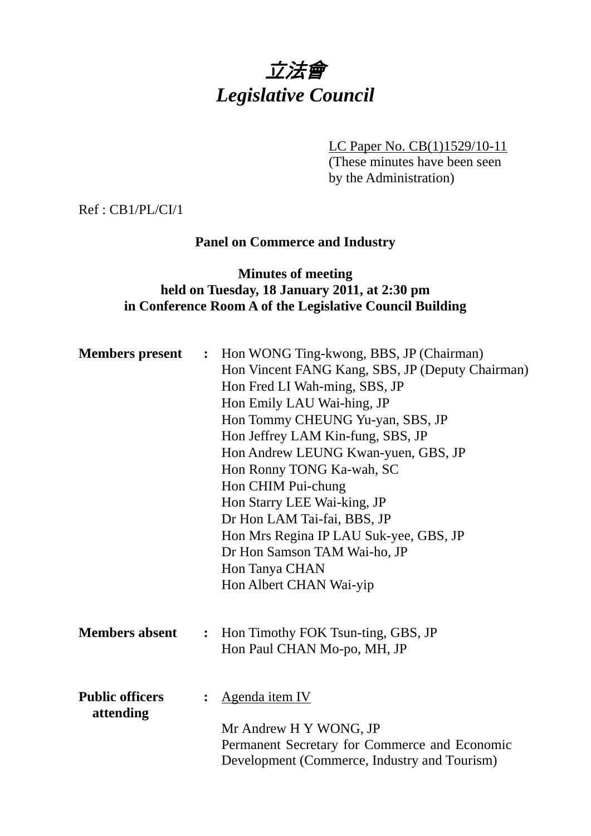# 立法會 *Legislative Council*

LC Paper No. CB(1)1529/10-11

(These minutes have been seen by the Administration)

Ref : CB1/PL/CI/1

## **Panel on Commerce and Industry**

### **Minutes of meeting held on Tuesday, 18 January 2011, at 2:30 pm in Conference Room A of the Legislative Council Building**

| <b>Members present</b>              | $\ddot{\cdot}$ | Hon WONG Ting-kwong, BBS, JP (Chairman)<br>Hon Vincent FANG Kang, SBS, JP (Deputy Chairman)<br>Hon Fred LI Wah-ming, SBS, JP<br>Hon Emily LAU Wai-hing, JP<br>Hon Tommy CHEUNG Yu-yan, SBS, JP<br>Hon Jeffrey LAM Kin-fung, SBS, JP<br>Hon Andrew LEUNG Kwan-yuen, GBS, JP<br>Hon Ronny TONG Ka-wah, SC<br>Hon CHIM Pui-chung<br>Hon Starry LEE Wai-king, JP<br>Dr Hon LAM Tai-fai, BBS, JP<br>Hon Mrs Regina IP LAU Suk-yee, GBS, JP<br>Dr Hon Samson TAM Wai-ho, JP<br>Hon Tanya CHAN<br>Hon Albert CHAN Wai-yip |
|-------------------------------------|----------------|--------------------------------------------------------------------------------------------------------------------------------------------------------------------------------------------------------------------------------------------------------------------------------------------------------------------------------------------------------------------------------------------------------------------------------------------------------------------------------------------------------------------|
| <b>Members absent</b>               | $\ddot{\cdot}$ | Hon Timothy FOK Tsun-ting, GBS, JP<br>Hon Paul CHAN Mo-po, MH, JP                                                                                                                                                                                                                                                                                                                                                                                                                                                  |
| <b>Public officers</b><br>attending | $\ddot{\cdot}$ | Agenda item IV<br>Mr Andrew H Y WONG, JP<br>Permanent Secretary for Commerce and Economic<br>Development (Commerce, Industry and Tourism)                                                                                                                                                                                                                                                                                                                                                                          |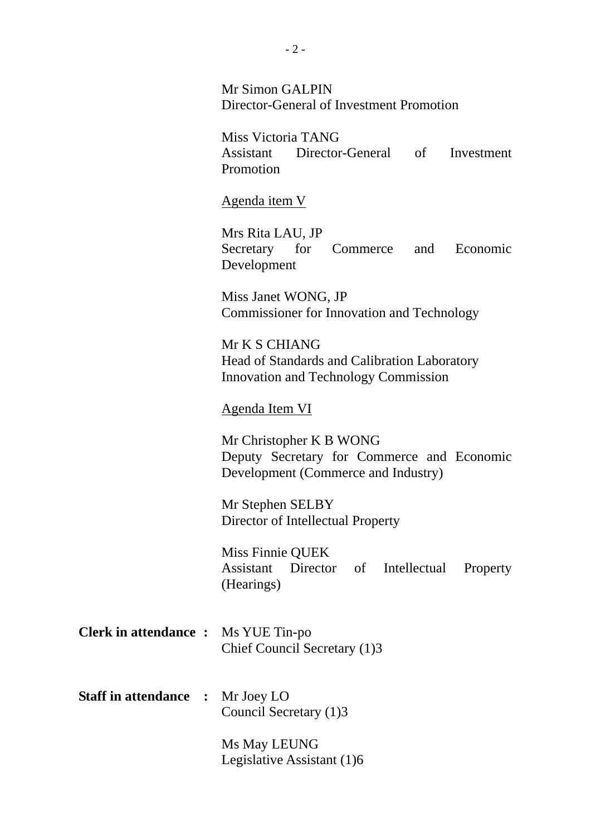Mr Simon GALPIN Director-General of Investment Promotion

Miss Victoria TANG Assistant Director-General of Investment Promotion

Agenda item V

Mrs Rita LAU, JP Secretary for Commerce and Economic Development

Miss Janet WONG, JP Commissioner for Innovation and Technology

Mr K S CHIANG Head of Standards and Calibration Laboratory Innovation and Technology Commission

#### Agenda Item VI

Mr Christopher K B WONG Deputy Secretary for Commerce and Economic Development (Commerce and Industry)

Mr Stephen SELBY Director of Intellectual Property

Miss Finnie QUEK Assistant Director of Intellectual Property (Hearings)

- **Clerk in attendance :** Ms YUE Tin-po Chief Council Secretary (1)3
- **Staff in attendance :** Mr Joey LO Council Secretary (1)3

Ms May LEUNG Legislative Assistant (1)6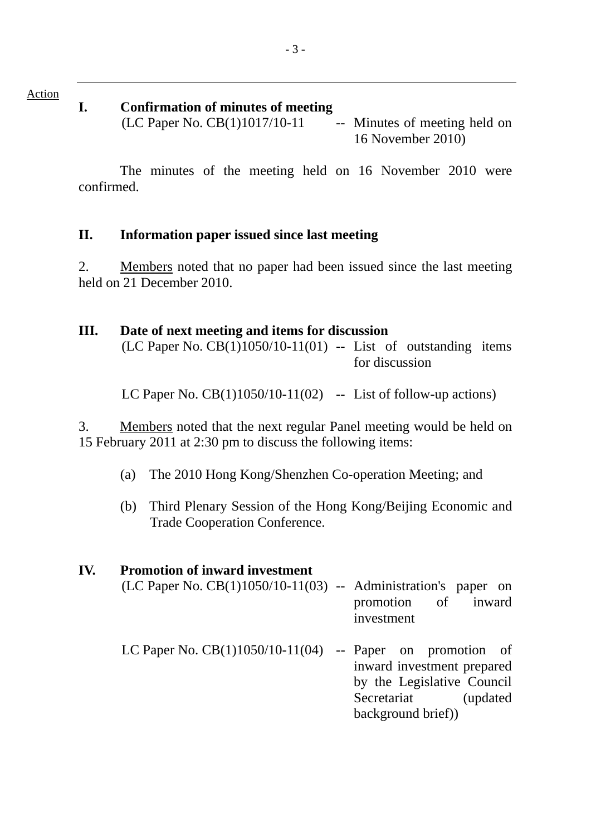#### **I. Confirmation of minutes of meeting**

 $(LC$  Paper No.  $CB(1)1017/10-11$  -- Minutes of meeting held on 16 November 2010)

 The minutes of the meeting held on 16 November 2010 were confirmed.

## **II. Information paper issued since last meeting**

2. Members noted that no paper had been issued since the last meeting held on 21 December 2010.

| Ш. | Date of next meeting and items for discussion<br>$(LC$ Paper No. $CB(1)1050/10-11(01)$ -- List of outstanding items | for discussion |
|----|---------------------------------------------------------------------------------------------------------------------|----------------|
|    | LC Paper No. $CB(1)1050/10-11(02)$ -- List of follow-up actions)                                                    |                |

3. Members noted that the next regular Panel meeting would be held on 15 February 2011 at 2:30 pm to discuss the following items:

- (a) The 2010 Hong Kong/Shenzhen Co-operation Meeting; and
- (b) Third Plenary Session of the Hong Kong/Beijing Economic and Trade Cooperation Conference.

| IV. | <b>Promotion of inward investment</b>                              |                                                                                                                  |
|-----|--------------------------------------------------------------------|------------------------------------------------------------------------------------------------------------------|
|     | $(LC$ Paper No. $CB(1)1050/10-11(03)$ -- Administration's paper on | promotion of inward<br>investment                                                                                |
|     | LC Paper No. $CB(1)1050/10-11(04)$ -- Paper on promotion of        | inward investment prepared<br>by the Legislative Council<br>Secretariat<br><i>(updated)</i><br>background brief) |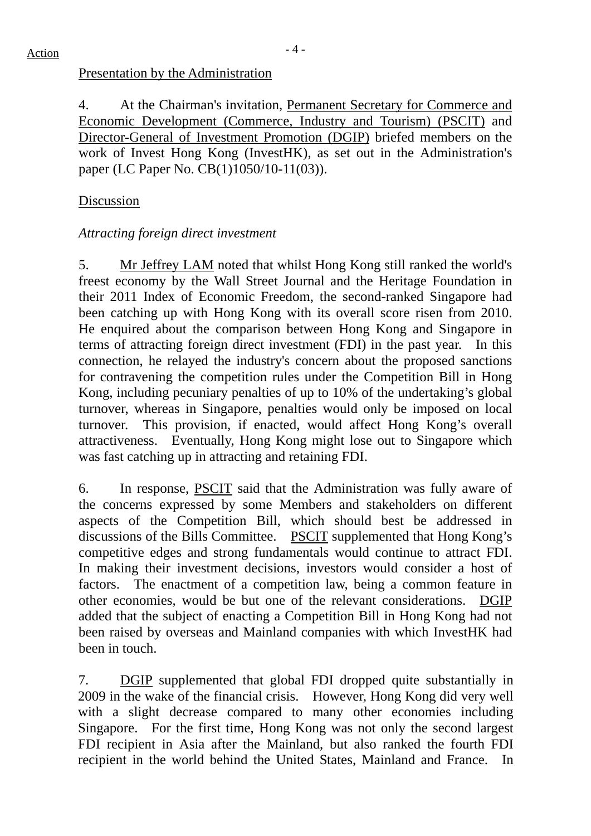### Presentation by the Administration

4. At the Chairman's invitation, Permanent Secretary for Commerce and Economic Development (Commerce, Industry and Tourism) (PSCIT) and Director-General of Investment Promotion (DGIP) briefed members on the work of Invest Hong Kong (InvestHK), as set out in the Administration's paper (LC Paper No. CB(1)1050/10-11(03)).

## Discussion

### *Attracting foreign direct investment*

5. Mr Jeffrey LAM noted that whilst Hong Kong still ranked the world's freest economy by the Wall Street Journal and the Heritage Foundation in their 2011 Index of Economic Freedom, the second-ranked Singapore had been catching up with Hong Kong with its overall score risen from 2010. He enquired about the comparison between Hong Kong and Singapore in terms of attracting foreign direct investment (FDI) in the past year. In this connection, he relayed the industry's concern about the proposed sanctions for contravening the competition rules under the Competition Bill in Hong Kong, including pecuniary penalties of up to 10% of the undertaking's global turnover, whereas in Singapore, penalties would only be imposed on local turnover. This provision, if enacted, would affect Hong Kong's overall attractiveness. Eventually, Hong Kong might lose out to Singapore which was fast catching up in attracting and retaining FDI.

6. In response, PSCIT said that the Administration was fully aware of the concerns expressed by some Members and stakeholders on different aspects of the Competition Bill, which should best be addressed in discussions of the Bills Committee. PSCIT supplemented that Hong Kong's competitive edges and strong fundamentals would continue to attract FDI. In making their investment decisions, investors would consider a host of factors. The enactment of a competition law, being a common feature in other economies, would be but one of the relevant considerations. DGIP added that the subject of enacting a Competition Bill in Hong Kong had not been raised by overseas and Mainland companies with which InvestHK had been in touch.

7. DGIP supplemented that global FDI dropped quite substantially in 2009 in the wake of the financial crisis. However, Hong Kong did very well with a slight decrease compared to many other economies including Singapore. For the first time, Hong Kong was not only the second largest FDI recipient in Asia after the Mainland, but also ranked the fourth FDI recipient in the world behind the United States, Mainland and France. In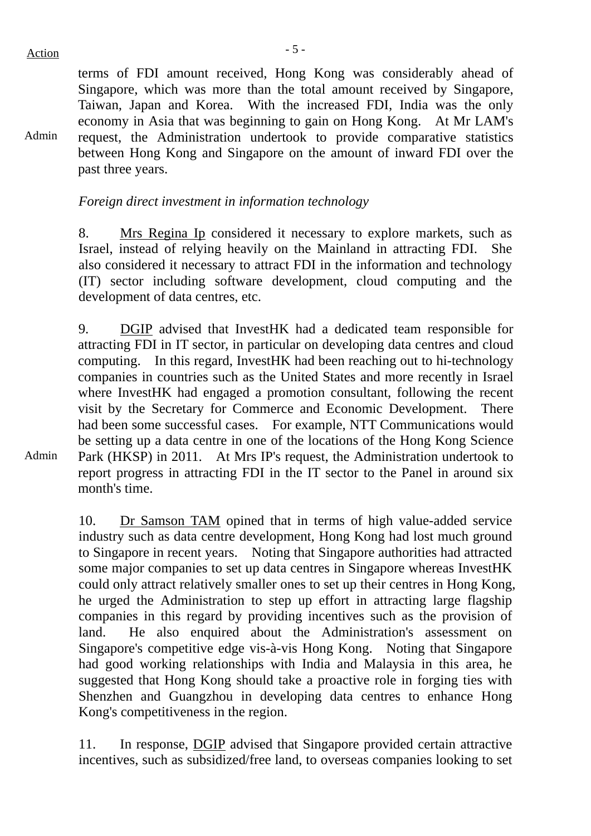Admin

terms of FDI amount received, Hong Kong was considerably ahead of Singapore, which was more than the total amount received by Singapore, Taiwan, Japan and Korea. With the increased FDI, India was the only economy in Asia that was beginning to gain on Hong Kong. At Mr LAM's request, the Administration undertook to provide comparative statistics between Hong Kong and Singapore on the amount of inward FDI over the past three years.

*Foreign direct investment in information technology* 

8. Mrs Regina Ip considered it necessary to explore markets, such as Israel, instead of relying heavily on the Mainland in attracting FDI. She also considered it necessary to attract FDI in the information and technology (IT) sector including software development, cloud computing and the development of data centres, etc.

9. DGIP advised that InvestHK had a dedicated team responsible for attracting FDI in IT sector, in particular on developing data centres and cloud computing. In this regard, InvestHK had been reaching out to hi-technology companies in countries such as the United States and more recently in Israel where InvestHK had engaged a promotion consultant, following the recent visit by the Secretary for Commerce and Economic Development. There had been some successful cases. For example, NTT Communications would be setting up a data centre in one of the locations of the Hong Kong Science Park (HKSP) in 2011. At Mrs IP's request, the Administration undertook to report progress in attracting FDI in the IT sector to the Panel in around six month's time.

10. Dr Samson TAM opined that in terms of high value-added service industry such as data centre development, Hong Kong had lost much ground to Singapore in recent years. Noting that Singapore authorities had attracted some major companies to set up data centres in Singapore whereas InvestHK could only attract relatively smaller ones to set up their centres in Hong Kong, he urged the Administration to step up effort in attracting large flagship companies in this regard by providing incentives such as the provision of land. He also enquired about the Administration's assessment on Singapore's competitive edge vis-à-vis Hong Kong. Noting that Singapore had good working relationships with India and Malaysia in this area, he suggested that Hong Kong should take a proactive role in forging ties with Shenzhen and Guangzhou in developing data centres to enhance Hong Kong's competitiveness in the region.

11. In response, DGIP advised that Singapore provided certain attractive incentives, such as subsidized/free land, to overseas companies looking to set

Admin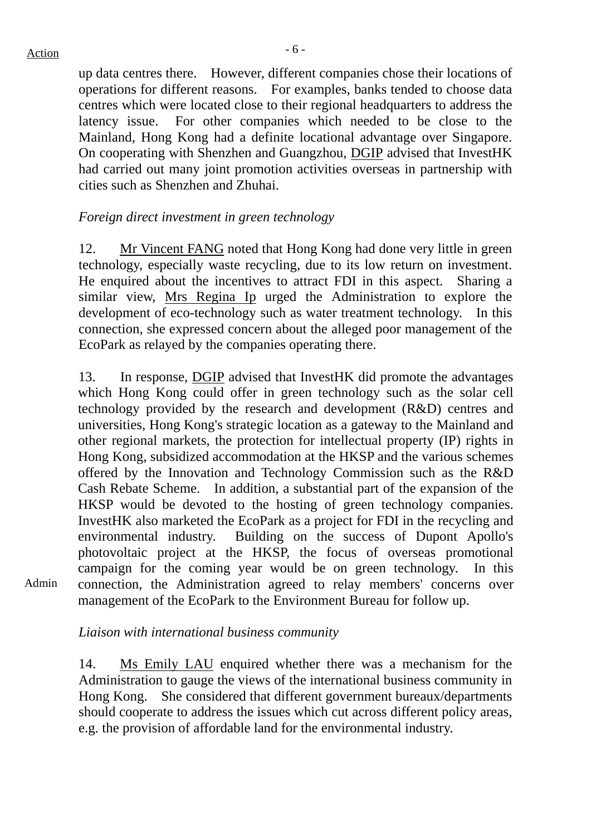## $Action$

up data centres there. However, different companies chose their locations of operations for different reasons. For examples, banks tended to choose data centres which were located close to their regional headquarters to address the latency issue. For other companies which needed to be close to the Mainland, Hong Kong had a definite locational advantage over Singapore. On cooperating with Shenzhen and Guangzhou, DGIP advised that InvestHK had carried out many joint promotion activities overseas in partnership with cities such as Shenzhen and Zhuhai.

#### *Foreign direct investment in green technology*

12. Mr Vincent FANG noted that Hong Kong had done very little in green technology, especially waste recycling, due to its low return on investment. He enquired about the incentives to attract FDI in this aspect. Sharing a similar view, Mrs Regina Ip urged the Administration to explore the development of eco-technology such as water treatment technology. In this connection, she expressed concern about the alleged poor management of the EcoPark as relayed by the companies operating there.

13. In response, DGIP advised that InvestHK did promote the advantages which Hong Kong could offer in green technology such as the solar cell technology provided by the research and development (R&D) centres and universities, Hong Kong's strategic location as a gateway to the Mainland and other regional markets, the protection for intellectual property (IP) rights in Hong Kong, subsidized accommodation at the HKSP and the various schemes offered by the Innovation and Technology Commission such as the R&D Cash Rebate Scheme. In addition, a substantial part of the expansion of the HKSP would be devoted to the hosting of green technology companies. InvestHK also marketed the EcoPark as a project for FDI in the recycling and environmental industry. Building on the success of Dupont Apollo's photovoltaic project at the HKSP, the focus of overseas promotional campaign for the coming year would be on green technology. In this connection, the Administration agreed to relay members' concerns over management of the EcoPark to the Environment Bureau for follow up.

Admin

#### *Liaison with international business community*

14. Ms Emily LAU enquired whether there was a mechanism for the Administration to gauge the views of the international business community in Hong Kong. She considered that different government bureaux/departments should cooperate to address the issues which cut across different policy areas, e.g. the provision of affordable land for the environmental industry.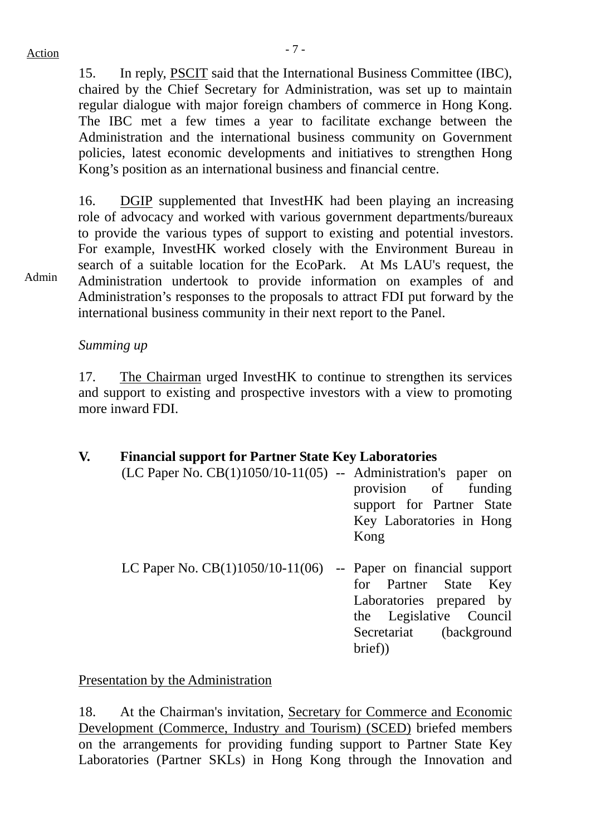Admin

15. In reply, PSCIT said that the International Business Committee (IBC), chaired by the Chief Secretary for Administration, was set up to maintain regular dialogue with major foreign chambers of commerce in Hong Kong. The IBC met a few times a year to facilitate exchange between the Administration and the international business community on Government policies, latest economic developments and initiatives to strengthen Hong Kong's position as an international business and financial centre.

16. DGIP supplemented that InvestHK had been playing an increasing role of advocacy and worked with various government departments/bureaux to provide the various types of support to existing and potential investors. For example, InvestHK worked closely with the Environment Bureau in search of a suitable location for the EcoPark. At Ms LAU's request, the Administration undertook to provide information on examples of and Administration's responses to the proposals to attract FDI put forward by the international business community in their next report to the Panel.

*Summing up* 

17. The Chairman urged InvestHK to continue to strengthen its services and support to existing and prospective investors with a view to promoting more inward FDI.

#### **V. Financial support for Partner State Key Laboratories**

| $(LC$ Paper No. $CB(1)1050/10-11(05)$ -- Administration's paper on |                           |
|--------------------------------------------------------------------|---------------------------|
|                                                                    | provision of funding      |
|                                                                    | support for Partner State |
|                                                                    | Key Laboratories in Hong  |
|                                                                    | Kong                      |
|                                                                    |                           |
| LC Paper No. $CB(1)1050/10-11(06)$ -- Paper on financial support   |                           |
|                                                                    | for Partner State Key     |

for Partner State Key Laboratories prepared by the Legislative Council Secretariat (background brief))

Presentation by the Administration

18. At the Chairman's invitation, Secretary for Commerce and Economic Development (Commerce, Industry and Tourism) (SCED) briefed members on the arrangements for providing funding support to Partner State Key Laboratories (Partner SKLs) in Hong Kong through the Innovation and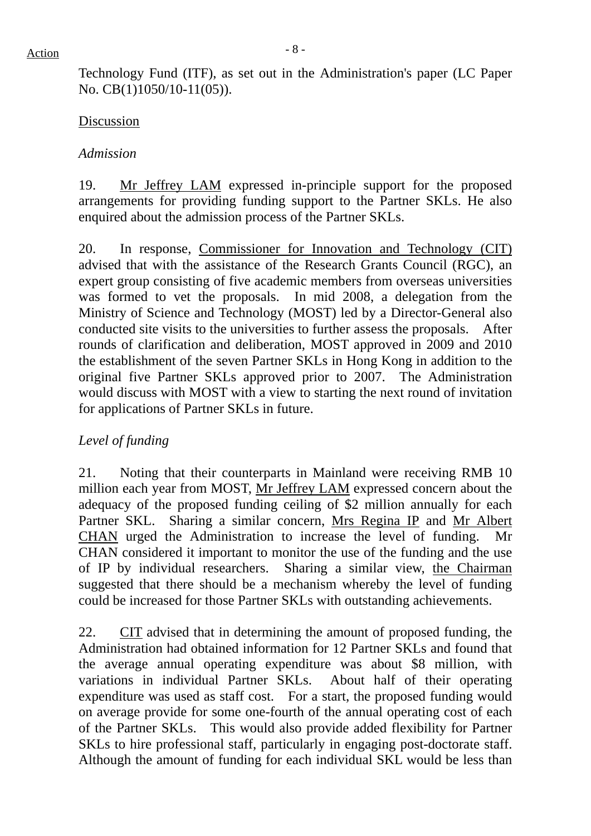Technology Fund (ITF), as set out in the Administration's paper (LC Paper No. CB(1)1050/10-11(05)).

#### Discussion

#### *Admission*

19. Mr Jeffrey LAM expressed in-principle support for the proposed arrangements for providing funding support to the Partner SKLs. He also enquired about the admission process of the Partner SKLs.

20. In response, Commissioner for Innovation and Technology (CIT) advised that with the assistance of the Research Grants Council (RGC), an expert group consisting of five academic members from overseas universities was formed to vet the proposals. In mid 2008, a delegation from the Ministry of Science and Technology (MOST) led by a Director-General also conducted site visits to the universities to further assess the proposals. After rounds of clarification and deliberation, MOST approved in 2009 and 2010 the establishment of the seven Partner SKLs in Hong Kong in addition to the original five Partner SKLs approved prior to 2007. The Administration would discuss with MOST with a view to starting the next round of invitation for applications of Partner SKLs in future.

#### *Level of funding*

21. Noting that their counterparts in Mainland were receiving RMB 10 million each year from MOST, Mr Jeffrey LAM expressed concern about the adequacy of the proposed funding ceiling of \$2 million annually for each Partner SKL. Sharing a similar concern, Mrs Regina IP and Mr Albert CHAN urged the Administration to increase the level of funding. Mr CHAN considered it important to monitor the use of the funding and the use of IP by individual researchers. Sharing a similar view, the Chairman suggested that there should be a mechanism whereby the level of funding could be increased for those Partner SKLs with outstanding achievements.

22. CIT advised that in determining the amount of proposed funding, the Administration had obtained information for 12 Partner SKLs and found that the average annual operating expenditure was about \$8 million, with variations in individual Partner SKLs. About half of their operating expenditure was used as staff cost. For a start, the proposed funding would on average provide for some one-fourth of the annual operating cost of each of the Partner SKLs. This would also provide added flexibility for Partner SKLs to hire professional staff, particularly in engaging post-doctorate staff. Although the amount of funding for each individual SKL would be less than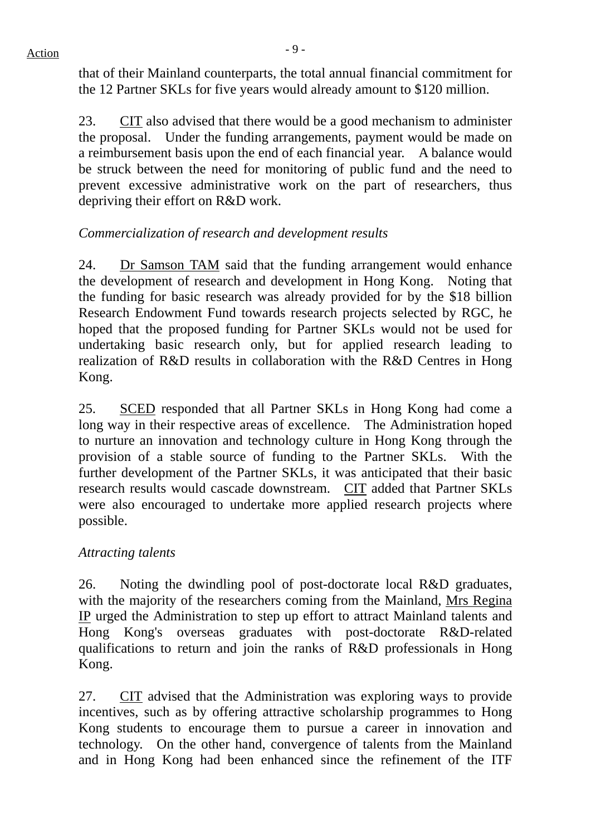that of their Mainland counterparts, the total annual financial commitment for the 12 Partner SKLs for five years would already amount to \$120 million.

23. CIT also advised that there would be a good mechanism to administer the proposal. Under the funding arrangements, payment would be made on a reimbursement basis upon the end of each financial year. A balance would be struck between the need for monitoring of public fund and the need to prevent excessive administrative work on the part of researchers, thus depriving their effort on R&D work.

## *Commercialization of research and development results*

24. Dr Samson TAM said that the funding arrangement would enhance the development of research and development in Hong Kong. Noting that the funding for basic research was already provided for by the \$18 billion Research Endowment Fund towards research projects selected by RGC, he hoped that the proposed funding for Partner SKLs would not be used for undertaking basic research only, but for applied research leading to realization of R&D results in collaboration with the R&D Centres in Hong Kong.

25. SCED responded that all Partner SKLs in Hong Kong had come a long way in their respective areas of excellence. The Administration hoped to nurture an innovation and technology culture in Hong Kong through the provision of a stable source of funding to the Partner SKLs. With the further development of the Partner SKLs, it was anticipated that their basic research results would cascade downstream. CIT added that Partner SKLs were also encouraged to undertake more applied research projects where possible.

## *Attracting talents*

26. Noting the dwindling pool of post-doctorate local R&D graduates, with the majority of the researchers coming from the Mainland, Mrs Regina IP urged the Administration to step up effort to attract Mainland talents and Hong Kong's overseas graduates with post-doctorate R&D-related qualifications to return and join the ranks of R&D professionals in Hong Kong.

27. CIT advised that the Administration was exploring ways to provide incentives, such as by offering attractive scholarship programmes to Hong Kong students to encourage them to pursue a career in innovation and technology. On the other hand, convergence of talents from the Mainland and in Hong Kong had been enhanced since the refinement of the ITF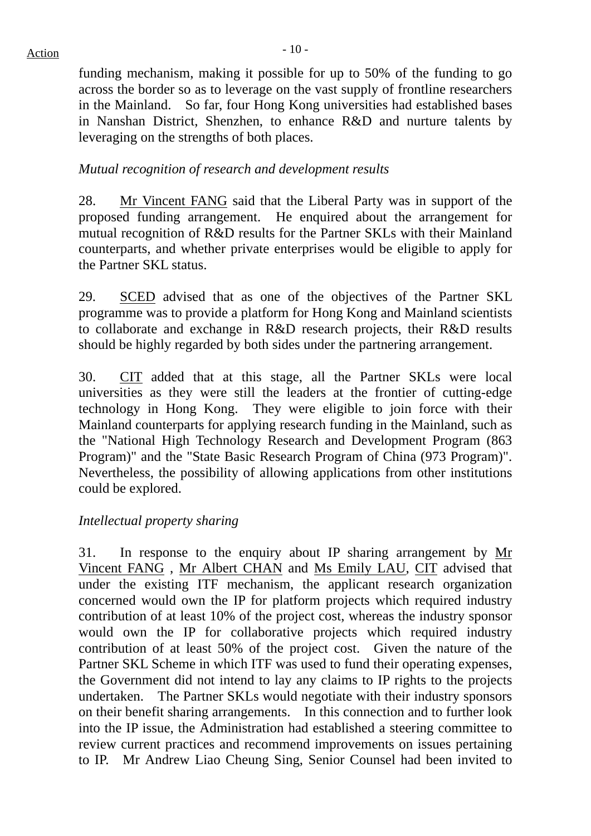funding mechanism, making it possible for up to 50% of the funding to go across the border so as to leverage on the vast supply of frontline researchers in the Mainland. So far, four Hong Kong universities had established bases in Nanshan District, Shenzhen, to enhance R&D and nurture talents by leveraging on the strengths of both places.

#### *Mutual recognition of research and development results*

28. Mr Vincent FANG said that the Liberal Party was in support of the proposed funding arrangement. He enquired about the arrangement for mutual recognition of R&D results for the Partner SKLs with their Mainland counterparts, and whether private enterprises would be eligible to apply for the Partner SKL status.

29. SCED advised that as one of the objectives of the Partner SKL programme was to provide a platform for Hong Kong and Mainland scientists to collaborate and exchange in R&D research projects, their R&D results should be highly regarded by both sides under the partnering arrangement.

30. CIT added that at this stage, all the Partner SKLs were local universities as they were still the leaders at the frontier of cutting-edge technology in Hong Kong. They were eligible to join force with their Mainland counterparts for applying research funding in the Mainland, such as the "National High Technology Research and Development Program (863 Program)" and the "State Basic Research Program of China (973 Program)". Nevertheless, the possibility of allowing applications from other institutions could be explored.

#### *Intellectual property sharing*

31. In response to the enquiry about IP sharing arrangement by Mr Vincent FANG , Mr Albert CHAN and Ms Emily LAU, CIT advised that under the existing ITF mechanism, the applicant research organization concerned would own the IP for platform projects which required industry contribution of at least 10% of the project cost, whereas the industry sponsor would own the IP for collaborative projects which required industry contribution of at least 50% of the project cost. Given the nature of the Partner SKL Scheme in which ITF was used to fund their operating expenses, the Government did not intend to lay any claims to IP rights to the projects undertaken. The Partner SKLs would negotiate with their industry sponsors on their benefit sharing arrangements. In this connection and to further look into the IP issue, the Administration had established a steering committee to review current practices and recommend improvements on issues pertaining to IP. Mr Andrew Liao Cheung Sing, Senior Counsel had been invited to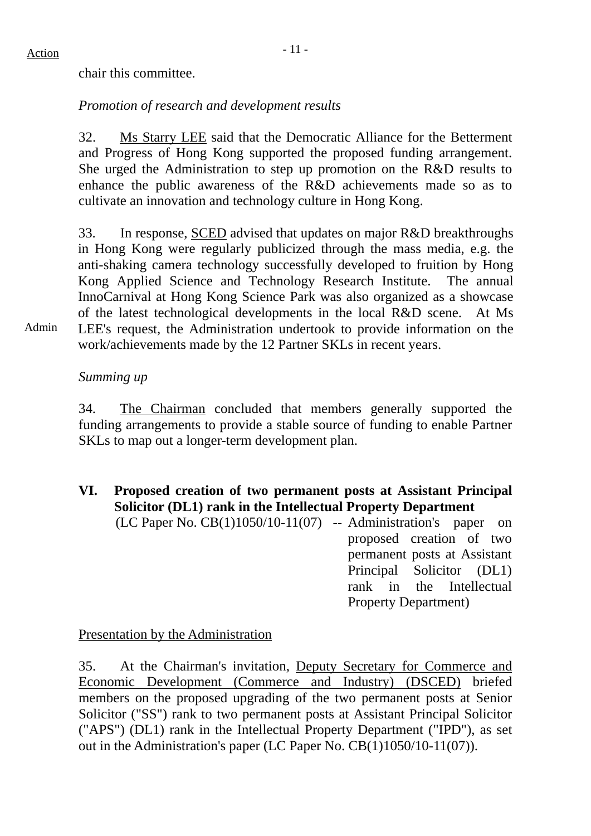chair this committee.

## *Promotion of research and development results*

32. Ms Starry LEE said that the Democratic Alliance for the Betterment and Progress of Hong Kong supported the proposed funding arrangement. She urged the Administration to step up promotion on the R&D results to enhance the public awareness of the R&D achievements made so as to cultivate an innovation and technology culture in Hong Kong.

33. In response, SCED advised that updates on major R&D breakthroughs in Hong Kong were regularly publicized through the mass media, e.g. the anti-shaking camera technology successfully developed to fruition by Hong Kong Applied Science and Technology Research Institute. The annual InnoCarnival at Hong Kong Science Park was also organized as a showcase of the latest technological developments in the local R&D scene. At Ms LEE's request, the Administration undertook to provide information on the

Admin work/achievements made by the 12 Partner SKLs in recent years.

### *Summing up*

34. The Chairman concluded that members generally supported the funding arrangements to provide a stable source of funding to enable Partner SKLs to map out a longer-term development plan.

**VI. Proposed creation of two permanent posts at Assistant Principal Solicitor (DL1) rank in the Intellectual Property Department** 

 $(LC$  Paper No.  $CB(1)1050/10-11(07)$  -- Administration's paper on proposed creation of two permanent posts at Assistant Principal Solicitor (DL1) rank in the Intellectual Property Department)

Presentation by the Administration

35. At the Chairman's invitation, Deputy Secretary for Commerce and Economic Development (Commerce and Industry) (DSCED) briefed members on the proposed upgrading of the two permanent posts at Senior Solicitor ("SS") rank to two permanent posts at Assistant Principal Solicitor ("APS") (DL1) rank in the Intellectual Property Department ("IPD"), as set out in the Administration's paper (LC Paper No. CB(1)1050/10-11(07)).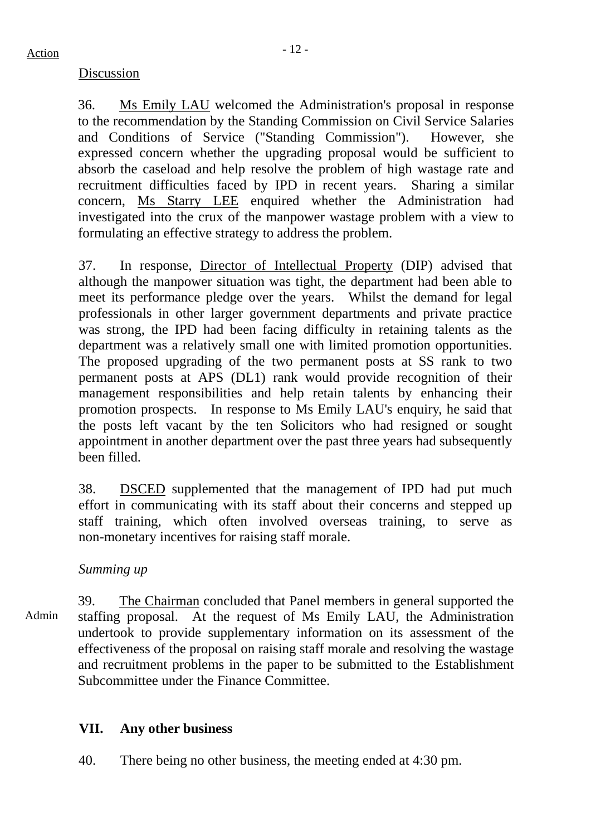#### Discussion

36. Ms Emily LAU welcomed the Administration's proposal in response to the recommendation by the Standing Commission on Civil Service Salaries and Conditions of Service ("Standing Commission"). However, she expressed concern whether the upgrading proposal would be sufficient to absorb the caseload and help resolve the problem of high wastage rate and recruitment difficulties faced by IPD in recent years. Sharing a similar concern, Ms Starry LEE enquired whether the Administration had investigated into the crux of the manpower wastage problem with a view to formulating an effective strategy to address the problem.

37. In response, Director of Intellectual Property (DIP) advised that although the manpower situation was tight, the department had been able to meet its performance pledge over the years. Whilst the demand for legal professionals in other larger government departments and private practice was strong, the IPD had been facing difficulty in retaining talents as the department was a relatively small one with limited promotion opportunities. The proposed upgrading of the two permanent posts at SS rank to two permanent posts at APS (DL1) rank would provide recognition of their management responsibilities and help retain talents by enhancing their promotion prospects. In response to Ms Emily LAU's enquiry, he said that the posts left vacant by the ten Solicitors who had resigned or sought appointment in another department over the past three years had subsequently been filled.

38. DSCED supplemented that the management of IPD had put much effort in communicating with its staff about their concerns and stepped up staff training, which often involved overseas training, to serve as non-monetary incentives for raising staff morale.

#### *Summing up*

Admin 39. The Chairman concluded that Panel members in general supported the staffing proposal. At the request of Ms Emily LAU, the Administration undertook to provide supplementary information on its assessment of the effectiveness of the proposal on raising staff morale and resolving the wastage and recruitment problems in the paper to be submitted to the Establishment Subcommittee under the Finance Committee.

## **VII. Any other business**

40. There being no other business, the meeting ended at 4:30 pm.